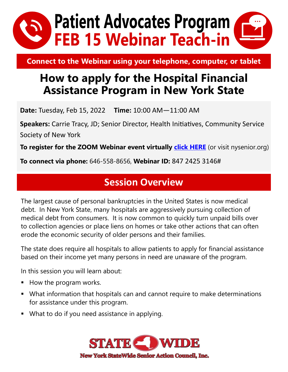

**Connect to the Webinar using your telephone, computer, or tablet**

# **How to apply for the Hospital Financial Assistance Program in New York State**

**Date:** Tuesday, Feb 15, 2022 **Time:** 10:00 AM—11:00 AM

**Speakers:** Carrie Tracy, JD; Senior Director, Health Initiatives, Community Service Society of New York

**To register for the ZOOM Webinar event virtually** *click HERE* (or visit nysenior.org)

**To connect via phone:** 646-558-8656, **Webinar ID:** 847 2425 3146#

### **Session Overview**

The largest cause of personal bankruptcies in the United States is now medical debt. In New York State, many hospitals are aggressively pursuing collection of medical debt from consumers. It is now common to quickly turn unpaid bills over to collection agencies or place liens on homes or take other actions that can often erode the economic security of older persons and their families.

The state does require all hospitals to allow patients to apply for financial assistance based on their income yet many persons in need are unaware of the program.

In this session you will learn about:

- How the program works.
- What information that hospitals can and cannot require to make determinations for assistance under this program.
- What to do if you need assistance in applying.